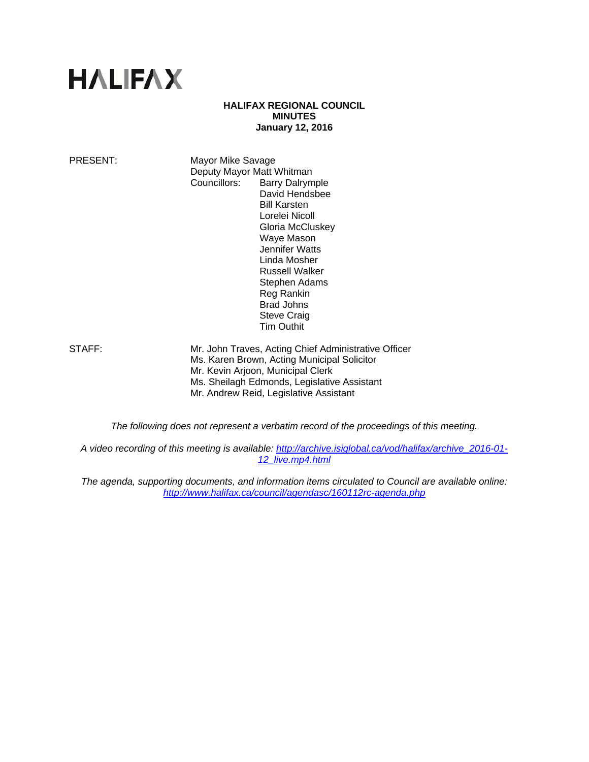# **HALIFAX**

#### **HALIFAX REGIONAL COUNCIL MINUTES January 12, 2016**

PRESENT: Mayor Mike Savage Deputy Mayor Matt Whitman Councillors: Barry Dalrymple David Hendsbee Bill Karsten Lorelei Nicoll Gloria McCluskey Waye Mason Jennifer Watts Linda Mosher Russell Walker Stephen Adams Reg Rankin Brad Johns Steve Craig Tim Outhit

STAFF: Mr. John Traves, Acting Chief Administrative Officer Ms. Karen Brown, Acting Municipal Solicitor Mr. Kevin Arjoon, Municipal Clerk Ms. Sheilagh Edmonds, Legislative Assistant Mr. Andrew Reid, Legislative Assistant

*The following does not represent a verbatim record of the proceedings of this meeting.* 

*A video recording of this meeting is available: http://archive.isiglobal.ca/vod/halifax/archive\_2016-01- 12\_live.mp4.html*

*The agenda, supporting documents, and information items circulated to Council are available online: http://www.halifax.ca/council/agendasc/160112rc-agenda.php*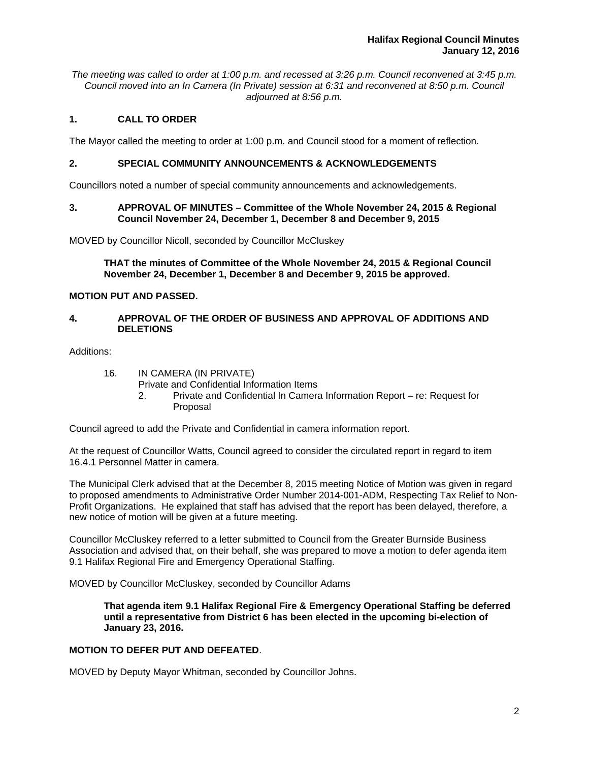*The meeting was called to order at 1:00 p.m. and recessed at 3:26 p.m. Council reconvened at 3:45 p.m. Council moved into an In Camera (In Private) session at 6:31 and reconvened at 8:50 p.m. Council adjourned at 8:56 p.m.*

# **1. CALL TO ORDER**

The Mayor called the meeting to order at 1:00 p.m. and Council stood for a moment of reflection.

#### **2. SPECIAL COMMUNITY ANNOUNCEMENTS & ACKNOWLEDGEMENTS**

Councillors noted a number of special community announcements and acknowledgements.

#### **3. APPROVAL OF MINUTES – Committee of the Whole November 24, 2015 & Regional Council November 24, December 1, December 8 and December 9, 2015**

MOVED by Councillor Nicoll, seconded by Councillor McCluskey

**THAT the minutes of Committee of the Whole November 24, 2015 & Regional Council November 24, December 1, December 8 and December 9, 2015 be approved.** 

## **MOTION PUT AND PASSED.**

#### **4. APPROVAL OF THE ORDER OF BUSINESS AND APPROVAL OF ADDITIONS AND DELETIONS**

Additions:

16. IN CAMERA (IN PRIVATE)

Private and Confidential Information Items

 2. Private and Confidential In Camera Information Report – re: Request for Proposal

Council agreed to add the Private and Confidential in camera information report.

At the request of Councillor Watts, Council agreed to consider the circulated report in regard to item 16.4.1 Personnel Matter in camera.

The Municipal Clerk advised that at the December 8, 2015 meeting Notice of Motion was given in regard to proposed amendments to Administrative Order Number 2014-001-ADM, Respecting Tax Relief to Non-Profit Organizations. He explained that staff has advised that the report has been delayed, therefore, a new notice of motion will be given at a future meeting.

Councillor McCluskey referred to a letter submitted to Council from the Greater Burnside Business Association and advised that, on their behalf, she was prepared to move a motion to defer agenda item 9.1 Halifax Regional Fire and Emergency Operational Staffing.

MOVED by Councillor McCluskey, seconded by Councillor Adams

**That agenda item 9.1 Halifax Regional Fire & Emergency Operational Staffing be deferred until a representative from District 6 has been elected in the upcoming bi-election of January 23, 2016.** 

## **MOTION TO DEFER PUT AND DEFEATED**.

MOVED by Deputy Mayor Whitman, seconded by Councillor Johns.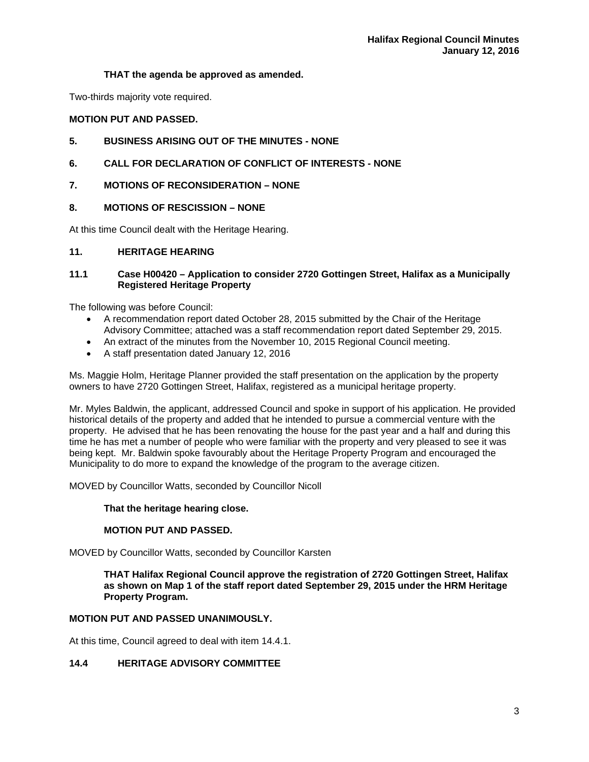# **THAT the agenda be approved as amended.**

Two-thirds majority vote required.

## **MOTION PUT AND PASSED.**

# **5. BUSINESS ARISING OUT OF THE MINUTES - NONE**

# **6. CALL FOR DECLARATION OF CONFLICT OF INTERESTS - NONE**

# **7. MOTIONS OF RECONSIDERATION – NONE**

# **8. MOTIONS OF RESCISSION – NONE**

At this time Council dealt with the Heritage Hearing.

## **11. HERITAGE HEARING**

## **11.1 Case H00420 – Application to consider 2720 Gottingen Street, Halifax as a Municipally Registered Heritage Property**

The following was before Council:

- A recommendation report dated October 28, 2015 submitted by the Chair of the Heritage Advisory Committee; attached was a staff recommendation report dated September 29, 2015.
- An extract of the minutes from the November 10, 2015 Regional Council meeting.
- A staff presentation dated January 12, 2016

Ms. Maggie Holm, Heritage Planner provided the staff presentation on the application by the property owners to have 2720 Gottingen Street, Halifax, registered as a municipal heritage property.

Mr. Myles Baldwin, the applicant, addressed Council and spoke in support of his application. He provided historical details of the property and added that he intended to pursue a commercial venture with the property. He advised that he has been renovating the house for the past year and a half and during this time he has met a number of people who were familiar with the property and very pleased to see it was being kept. Mr. Baldwin spoke favourably about the Heritage Property Program and encouraged the Municipality to do more to expand the knowledge of the program to the average citizen.

MOVED by Councillor Watts, seconded by Councillor Nicoll

#### **That the heritage hearing close.**

## **MOTION PUT AND PASSED.**

MOVED by Councillor Watts, seconded by Councillor Karsten

**THAT Halifax Regional Council approve the registration of 2720 Gottingen Street, Halifax as shown on Map 1 of the staff report dated September 29, 2015 under the HRM Heritage Property Program.** 

# **MOTION PUT AND PASSED UNANIMOUSLY.**

At this time, Council agreed to deal with item 14.4.1.

## **14.4 HERITAGE ADVISORY COMMITTEE**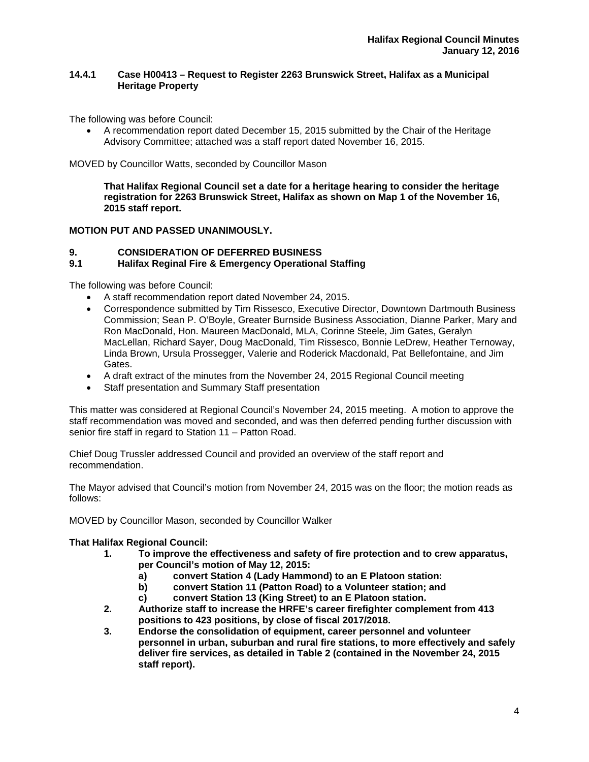## **14.4.1 Case H00413 – Request to Register 2263 Brunswick Street, Halifax as a Municipal Heritage Property**

The following was before Council:

 A recommendation report dated December 15, 2015 submitted by the Chair of the Heritage Advisory Committee; attached was a staff report dated November 16, 2015.

MOVED by Councillor Watts, seconded by Councillor Mason

**That Halifax Regional Council set a date for a heritage hearing to consider the heritage registration for 2263 Brunswick Street, Halifax as shown on Map 1 of the November 16, 2015 staff report.** 

# **MOTION PUT AND PASSED UNANIMOUSLY.**

## **9. CONSIDERATION OF DEFERRED BUSINESS**

## **9.1 Halifax Reginal Fire & Emergency Operational Staffing**

The following was before Council:

- A staff recommendation report dated November 24, 2015.
- Correspondence submitted by Tim Rissesco, Executive Director, Downtown Dartmouth Business Commission; Sean P. O'Boyle, Greater Burnside Business Association, Dianne Parker, Mary and Ron MacDonald, Hon. Maureen MacDonald, MLA, Corinne Steele, Jim Gates, Geralyn MacLellan, Richard Sayer, Doug MacDonald, Tim Rissesco, Bonnie LeDrew, Heather Ternoway, Linda Brown, Ursula Prossegger, Valerie and Roderick Macdonald, Pat Bellefontaine, and Jim Gates.
- A draft extract of the minutes from the November 24, 2015 Regional Council meeting
- Staff presentation and Summary Staff presentation

This matter was considered at Regional Council's November 24, 2015 meeting. A motion to approve the staff recommendation was moved and seconded, and was then deferred pending further discussion with senior fire staff in regard to Station 11 – Patton Road.

Chief Doug Trussler addressed Council and provided an overview of the staff report and recommendation.

The Mayor advised that Council's motion from November 24, 2015 was on the floor; the motion reads as follows:

MOVED by Councillor Mason, seconded by Councillor Walker

#### **That Halifax Regional Council:**

- **1. To improve the effectiveness and safety of fire protection and to crew apparatus, per Council's motion of May 12, 2015:** 
	- **a) convert Station 4 (Lady Hammond) to an E Platoon station:**
	- **b) convert Station 11 (Patton Road) to a Volunteer station; and**
	- **c) convert Station 13 (King Street) to an E Platoon station.**
- **2. Authorize staff to increase the HRFE's career firefighter complement from 413 positions to 423 positions, by close of fiscal 2017/2018.**
- **3. Endorse the consolidation of equipment, career personnel and volunteer personnel in urban, suburban and rural fire stations, to more effectively and safely deliver fire services, as detailed in Table 2 (contained in the November 24, 2015 staff report).**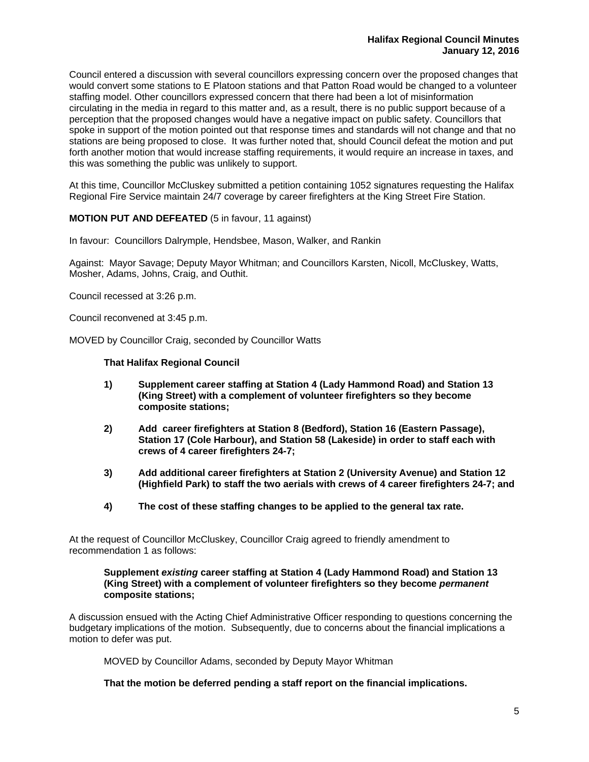Council entered a discussion with several councillors expressing concern over the proposed changes that would convert some stations to E Platoon stations and that Patton Road would be changed to a volunteer staffing model. Other councillors expressed concern that there had been a lot of misinformation circulating in the media in regard to this matter and, as a result, there is no public support because of a perception that the proposed changes would have a negative impact on public safety. Councillors that spoke in support of the motion pointed out that response times and standards will not change and that no stations are being proposed to close. It was further noted that, should Council defeat the motion and put forth another motion that would increase staffing requirements, it would require an increase in taxes, and this was something the public was unlikely to support.

At this time, Councillor McCluskey submitted a petition containing 1052 signatures requesting the Halifax Regional Fire Service maintain 24/7 coverage by career firefighters at the King Street Fire Station.

## **MOTION PUT AND DEFEATED** (5 in favour, 11 against)

In favour: Councillors Dalrymple, Hendsbee, Mason, Walker, and Rankin

Against: Mayor Savage; Deputy Mayor Whitman; and Councillors Karsten, Nicoll, McCluskey, Watts, Mosher, Adams, Johns, Craig, and Outhit.

Council recessed at 3:26 p.m.

Council reconvened at 3:45 p.m.

MOVED by Councillor Craig, seconded by Councillor Watts

#### **That Halifax Regional Council**

- **1) Supplement career staffing at Station 4 (Lady Hammond Road) and Station 13 (King Street) with a complement of volunteer firefighters so they become composite stations;**
- **2) Add career firefighters at Station 8 (Bedford), Station 16 (Eastern Passage), Station 17 (Cole Harbour), and Station 58 (Lakeside) in order to staff each with crews of 4 career firefighters 24-7;**
- **3) Add additional career firefighters at Station 2 (University Avenue) and Station 12 (Highfield Park) to staff the two aerials with crews of 4 career firefighters 24-7; and**
- **4) The cost of these staffing changes to be applied to the general tax rate.**

At the request of Councillor McCluskey, Councillor Craig agreed to friendly amendment to recommendation 1 as follows:

#### **Supplement** *existing* **career staffing at Station 4 (Lady Hammond Road) and Station 13 (King Street) with a complement of volunteer firefighters so they become** *permanent*  **composite stations;**

A discussion ensued with the Acting Chief Administrative Officer responding to questions concerning the budgetary implications of the motion. Subsequently, due to concerns about the financial implications a motion to defer was put.

MOVED by Councillor Adams, seconded by Deputy Mayor Whitman

**That the motion be deferred pending a staff report on the financial implications.**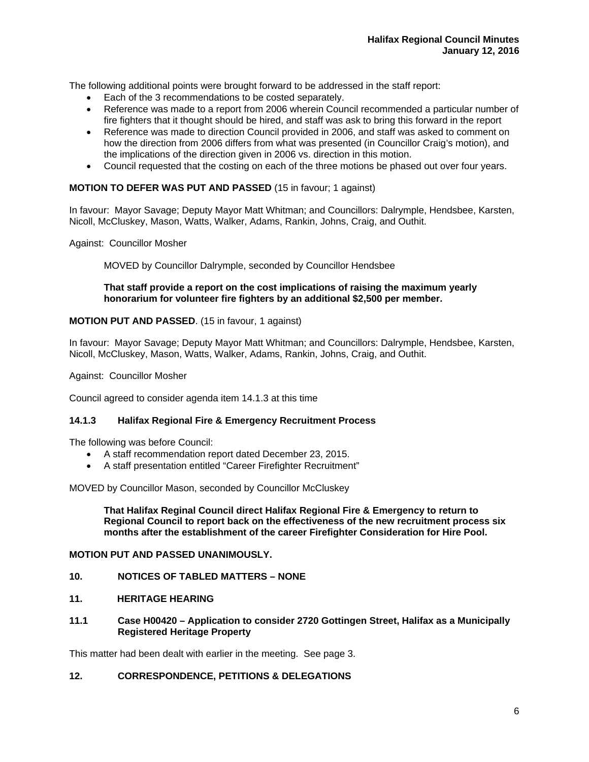The following additional points were brought forward to be addressed in the staff report:

- Each of the 3 recommendations to be costed separately.
- Reference was made to a report from 2006 wherein Council recommended a particular number of fire fighters that it thought should be hired, and staff was ask to bring this forward in the report
- Reference was made to direction Council provided in 2006, and staff was asked to comment on how the direction from 2006 differs from what was presented (in Councillor Craig's motion), and the implications of the direction given in 2006 vs. direction in this motion.
- Council requested that the costing on each of the three motions be phased out over four years.

#### **MOTION TO DEFER WAS PUT AND PASSED** (15 in favour; 1 against)

In favour: Mayor Savage; Deputy Mayor Matt Whitman; and Councillors: Dalrymple, Hendsbee, Karsten, Nicoll, McCluskey, Mason, Watts, Walker, Adams, Rankin, Johns, Craig, and Outhit.

Against: Councillor Mosher

MOVED by Councillor Dalrymple, seconded by Councillor Hendsbee

#### **That staff provide a report on the cost implications of raising the maximum yearly honorarium for volunteer fire fighters by an additional \$2,500 per member.**

#### **MOTION PUT AND PASSED**. (15 in favour, 1 against)

In favour: Mayor Savage; Deputy Mayor Matt Whitman; and Councillors: Dalrymple, Hendsbee, Karsten, Nicoll, McCluskey, Mason, Watts, Walker, Adams, Rankin, Johns, Craig, and Outhit.

Against: Councillor Mosher

Council agreed to consider agenda item 14.1.3 at this time

#### **14.1.3 Halifax Regional Fire & Emergency Recruitment Process**

The following was before Council:

- A staff recommendation report dated December 23, 2015.
- A staff presentation entitled "Career Firefighter Recruitment"

MOVED by Councillor Mason, seconded by Councillor McCluskey

**That Halifax Reginal Council direct Halifax Regional Fire & Emergency to return to Regional Council to report back on the effectiveness of the new recruitment process six months after the establishment of the career Firefighter Consideration for Hire Pool.** 

#### **MOTION PUT AND PASSED UNANIMOUSLY.**

## **10. NOTICES OF TABLED MATTERS – NONE**

- **11. HERITAGE HEARING**
- **11.1 Case H00420 Application to consider 2720 Gottingen Street, Halifax as a Municipally Registered Heritage Property**

This matter had been dealt with earlier in the meeting. See page 3.

#### **12. CORRESPONDENCE, PETITIONS & DELEGATIONS**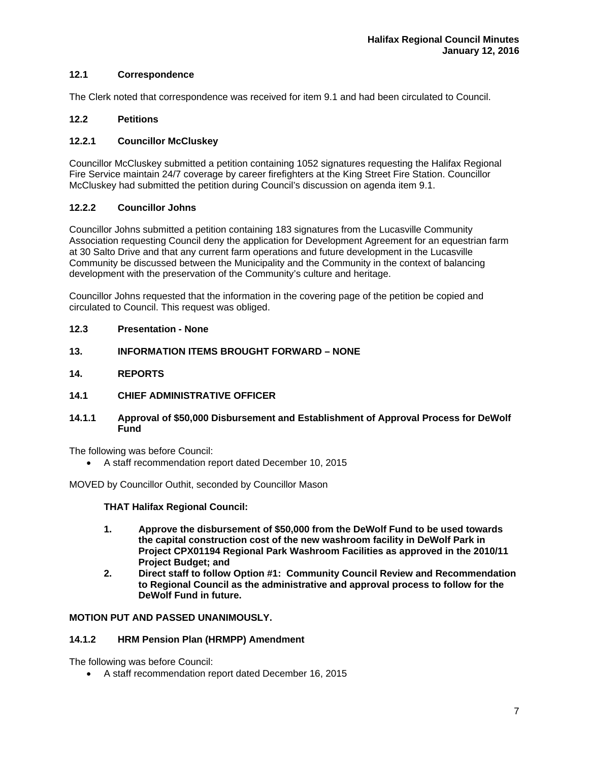## **12.1 Correspondence**

The Clerk noted that correspondence was received for item 9.1 and had been circulated to Council.

## **12.2 Petitions**

## **12.2.1 Councillor McCluskey**

Councillor McCluskey submitted a petition containing 1052 signatures requesting the Halifax Regional Fire Service maintain 24/7 coverage by career firefighters at the King Street Fire Station. Councillor McCluskey had submitted the petition during Council's discussion on agenda item 9.1.

## **12.2.2 Councillor Johns**

Councillor Johns submitted a petition containing 183 signatures from the Lucasville Community Association requesting Council deny the application for Development Agreement for an equestrian farm at 30 Salto Drive and that any current farm operations and future development in the Lucasville Community be discussed between the Municipality and the Community in the context of balancing development with the preservation of the Community's culture and heritage.

Councillor Johns requested that the information in the covering page of the petition be copied and circulated to Council. This request was obliged.

- **12.3 Presentation None**
- **13. INFORMATION ITEMS BROUGHT FORWARD NONE**
- **14. REPORTS**
- **14.1 CHIEF ADMINISTRATIVE OFFICER**
- **14.1.1 Approval of \$50,000 Disbursement and Establishment of Approval Process for DeWolf Fund**

The following was before Council:

A staff recommendation report dated December 10, 2015

MOVED by Councillor Outhit, seconded by Councillor Mason

#### **THAT Halifax Regional Council:**

- **1. Approve the disbursement of \$50,000 from the DeWolf Fund to be used towards the capital construction cost of the new washroom facility in DeWolf Park in Project CPX01194 Regional Park Washroom Facilities as approved in the 2010/11 Project Budget; and<br>2. Direct staff to follow**
- **2. Direct staff to follow Option #1: Community Council Review and Recommendation to Regional Council as the administrative and approval process to follow for the DeWolf Fund in future.**

#### **MOTION PUT AND PASSED UNANIMOUSLY.**

#### **14.1.2 HRM Pension Plan (HRMPP) Amendment**

The following was before Council:

A staff recommendation report dated December 16, 2015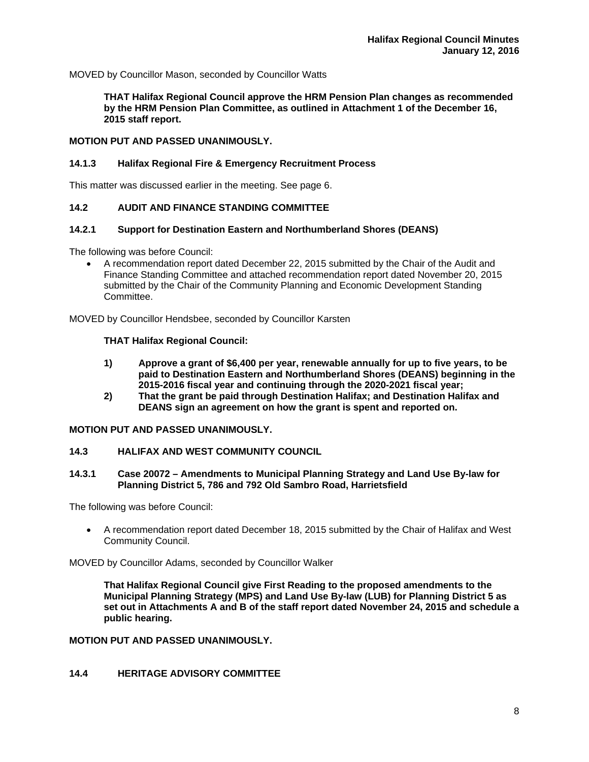MOVED by Councillor Mason, seconded by Councillor Watts

**THAT Halifax Regional Council approve the HRM Pension Plan changes as recommended by the HRM Pension Plan Committee, as outlined in Attachment 1 of the December 16, 2015 staff report.** 

# **MOTION PUT AND PASSED UNANIMOUSLY.**

#### **14.1.3 Halifax Regional Fire & Emergency Recruitment Process**

This matter was discussed earlier in the meeting. See page 6.

## **14.2 AUDIT AND FINANCE STANDING COMMITTEE**

## **14.2.1 Support for Destination Eastern and Northumberland Shores (DEANS)**

The following was before Council:

 A recommendation report dated December 22, 2015 submitted by the Chair of the Audit and Finance Standing Committee and attached recommendation report dated November 20, 2015 submitted by the Chair of the Community Planning and Economic Development Standing Committee.

MOVED by Councillor Hendsbee, seconded by Councillor Karsten

#### **THAT Halifax Regional Council:**

- **1) Approve a grant of \$6,400 per year, renewable annually for up to five years, to be paid to Destination Eastern and Northumberland Shores (DEANS) beginning in the 2015-2016 fiscal year and continuing through the 2020-2021 fiscal year;**
- **2) That the grant be paid through Destination Halifax; and Destination Halifax and DEANS sign an agreement on how the grant is spent and reported on.**

#### **MOTION PUT AND PASSED UNANIMOUSLY.**

#### **14.3 HALIFAX AND WEST COMMUNITY COUNCIL**

#### **14.3.1 Case 20072 – Amendments to Municipal Planning Strategy and Land Use By-law for Planning District 5, 786 and 792 Old Sambro Road, Harrietsfield**

The following was before Council:

 A recommendation report dated December 18, 2015 submitted by the Chair of Halifax and West Community Council.

MOVED by Councillor Adams, seconded by Councillor Walker

**That Halifax Regional Council give First Reading to the proposed amendments to the Municipal Planning Strategy (MPS) and Land Use By-law (LUB) for Planning District 5 as set out in Attachments A and B of the staff report dated November 24, 2015 and schedule a public hearing.** 

**MOTION PUT AND PASSED UNANIMOUSLY.** 

## **14.4 HERITAGE ADVISORY COMMITTEE**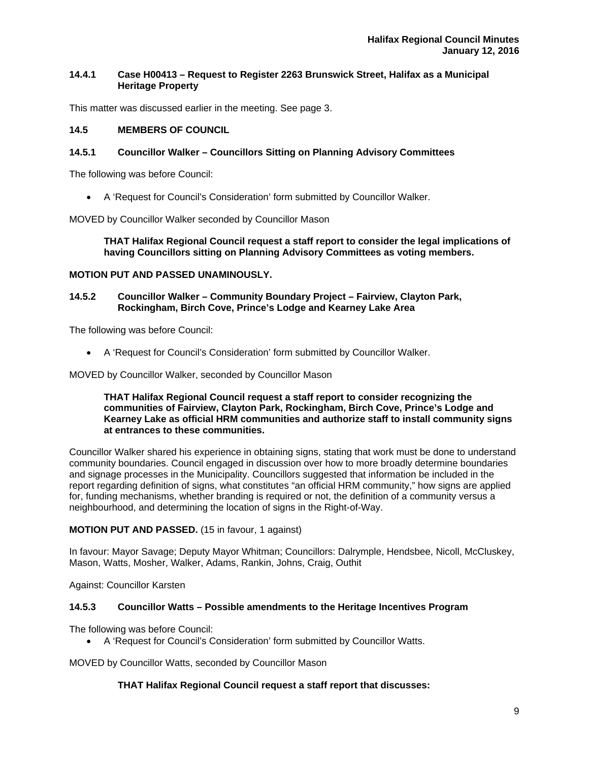## **14.4.1 Case H00413 – Request to Register 2263 Brunswick Street, Halifax as a Municipal Heritage Property**

This matter was discussed earlier in the meeting. See page 3.

## **14.5 MEMBERS OF COUNCIL**

## **14.5.1 Councillor Walker – Councillors Sitting on Planning Advisory Committees**

The following was before Council:

A 'Request for Council's Consideration' form submitted by Councillor Walker.

MOVED by Councillor Walker seconded by Councillor Mason

**THAT Halifax Regional Council request a staff report to consider the legal implications of having Councillors sitting on Planning Advisory Committees as voting members.** 

#### **MOTION PUT AND PASSED UNAMINOUSLY.**

#### **14.5.2 Councillor Walker – Community Boundary Project – Fairview, Clayton Park, Rockingham, Birch Cove, Prince's Lodge and Kearney Lake Area**

The following was before Council:

A 'Request for Council's Consideration' form submitted by Councillor Walker.

MOVED by Councillor Walker, seconded by Councillor Mason

**THAT Halifax Regional Council request a staff report to consider recognizing the communities of Fairview, Clayton Park, Rockingham, Birch Cove, Prince's Lodge and Kearney Lake as official HRM communities and authorize staff to install community signs at entrances to these communities.** 

Councillor Walker shared his experience in obtaining signs, stating that work must be done to understand community boundaries. Council engaged in discussion over how to more broadly determine boundaries and signage processes in the Municipality. Councillors suggested that information be included in the report regarding definition of signs, what constitutes "an official HRM community," how signs are applied for, funding mechanisms, whether branding is required or not, the definition of a community versus a neighbourhood, and determining the location of signs in the Right-of-Way.

#### **MOTION PUT AND PASSED.** (15 in favour, 1 against)

In favour: Mayor Savage; Deputy Mayor Whitman; Councillors: Dalrymple, Hendsbee, Nicoll, McCluskey, Mason, Watts, Mosher, Walker, Adams, Rankin, Johns, Craig, Outhit

Against: Councillor Karsten

#### **14.5.3 Councillor Watts – Possible amendments to the Heritage Incentives Program**

The following was before Council:

A 'Request for Council's Consideration' form submitted by Councillor Watts.

MOVED by Councillor Watts, seconded by Councillor Mason

#### **THAT Halifax Regional Council request a staff report that discusses:**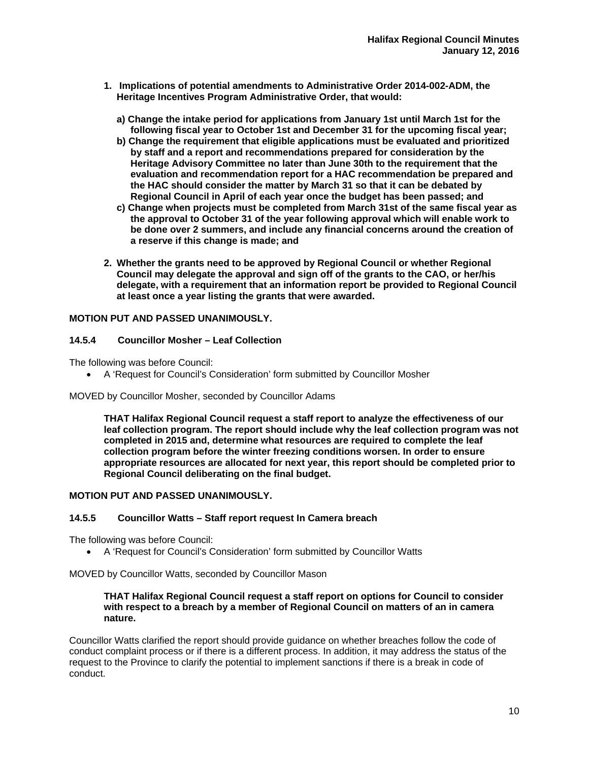- **1. Implications of potential amendments to Administrative Order 2014-002-ADM, the Heritage Incentives Program Administrative Order, that would:** 
	- **a) Change the intake period for applications from January 1st until March 1st for the following fiscal year to October 1st and December 31 for the upcoming fiscal year;**
	- **b) Change the requirement that eligible applications must be evaluated and prioritized by staff and a report and recommendations prepared for consideration by the Heritage Advisory Committee no later than June 30th to the requirement that the evaluation and recommendation report for a HAC recommendation be prepared and the HAC should consider the matter by March 31 so that it can be debated by Regional Council in April of each year once the budget has been passed; and**
	- **c) Change when projects must be completed from March 31st of the same fiscal year as the approval to October 31 of the year following approval which will enable work to be done over 2 summers, and include any financial concerns around the creation of a reserve if this change is made; and**
- **2. Whether the grants need to be approved by Regional Council or whether Regional Council may delegate the approval and sign off of the grants to the CAO, or her/his delegate, with a requirement that an information report be provided to Regional Council at least once a year listing the grants that were awarded.**

## **MOTION PUT AND PASSED UNANIMOUSLY.**

#### **14.5.4 Councillor Mosher – Leaf Collection**

The following was before Council:

A 'Request for Council's Consideration' form submitted by Councillor Mosher

#### MOVED by Councillor Mosher, seconded by Councillor Adams

**THAT Halifax Regional Council request a staff report to analyze the effectiveness of our leaf collection program. The report should include why the leaf collection program was not completed in 2015 and, determine what resources are required to complete the leaf collection program before the winter freezing conditions worsen. In order to ensure appropriate resources are allocated for next year, this report should be completed prior to Regional Council deliberating on the final budget.** 

#### **MOTION PUT AND PASSED UNANIMOUSLY.**

## **14.5.5 Councillor Watts – Staff report request In Camera breach**

The following was before Council:

A 'Request for Council's Consideration' form submitted by Councillor Watts

MOVED by Councillor Watts, seconded by Councillor Mason

#### **THAT Halifax Regional Council request a staff report on options for Council to consider with respect to a breach by a member of Regional Council on matters of an in camera nature.**

Councillor Watts clarified the report should provide guidance on whether breaches follow the code of conduct complaint process or if there is a different process. In addition, it may address the status of the request to the Province to clarify the potential to implement sanctions if there is a break in code of conduct.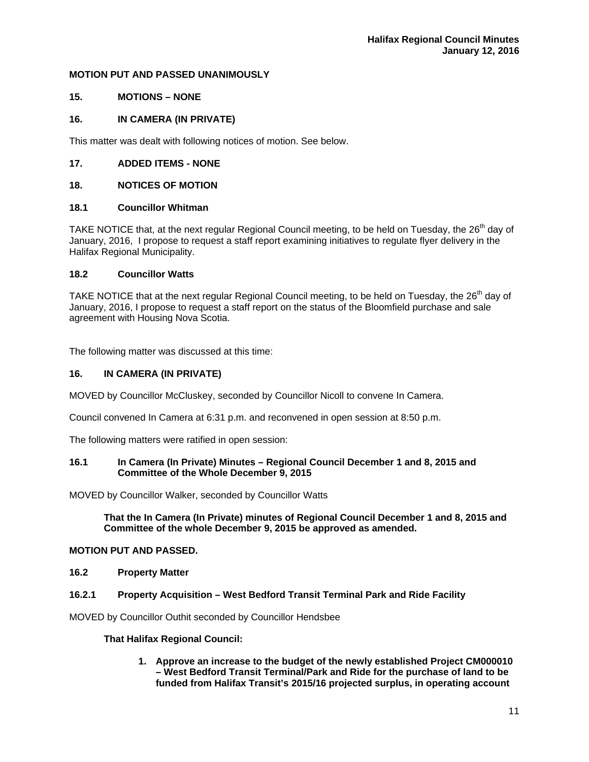#### **MOTION PUT AND PASSED UNANIMOUSLY**

## **15. MOTIONS – NONE**

## **16. IN CAMERA (IN PRIVATE)**

This matter was dealt with following notices of motion. See below.

## **17. ADDED ITEMS - NONE**

## **18. NOTICES OF MOTION**

## **18.1 Councillor Whitman**

TAKE NOTICE that, at the next regular Regional Council meeting, to be held on Tuesday, the 26<sup>th</sup> day of January, 2016, I propose to request a staff report examining initiatives to regulate flyer delivery in the Halifax Regional Municipality.

#### **18.2 Councillor Watts**

TAKE NOTICE that at the next regular Regional Council meeting, to be held on Tuesday, the 26<sup>th</sup> day of January, 2016, I propose to request a staff report on the status of the Bloomfield purchase and sale agreement with Housing Nova Scotia.

The following matter was discussed at this time:

#### **16. IN CAMERA (IN PRIVATE)**

MOVED by Councillor McCluskey, seconded by Councillor Nicoll to convene In Camera.

Council convened In Camera at 6:31 p.m. and reconvened in open session at 8:50 p.m.

The following matters were ratified in open session:

#### **16.1 In Camera (In Private) Minutes – Regional Council December 1 and 8, 2015 and Committee of the Whole December 9, 2015**

MOVED by Councillor Walker, seconded by Councillor Watts

**That the In Camera (In Private) minutes of Regional Council December 1 and 8, 2015 and Committee of the whole December 9, 2015 be approved as amended.** 

#### **MOTION PUT AND PASSED.**

**16.2 Property Matter** 

#### **16.2.1 Property Acquisition – West Bedford Transit Terminal Park and Ride Facility**

MOVED by Councillor Outhit seconded by Councillor Hendsbee

#### **That Halifax Regional Council:**

**1. Approve an increase to the budget of the newly established Project CM000010 – West Bedford Transit Terminal/Park and Ride for the purchase of land to be funded from Halifax Transit's 2015/16 projected surplus, in operating account**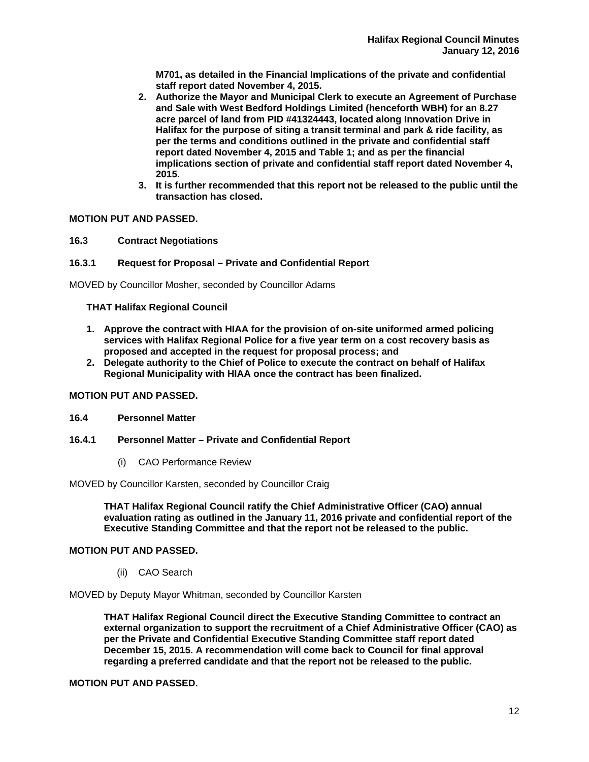**M701, as detailed in the Financial Implications of the private and confidential staff report dated November 4, 2015.** 

- **2. Authorize the Mayor and Municipal Clerk to execute an Agreement of Purchase and Sale with West Bedford Holdings Limited (henceforth WBH) for an 8.27 acre parcel of land from PID #41324443, located along Innovation Drive in Halifax for the purpose of siting a transit terminal and park & ride facility, as per the terms and conditions outlined in the private and confidential staff report dated November 4, 2015 and Table 1; and as per the financial implications section of private and confidential staff report dated November 4, 2015.**
- **3. It is further recommended that this report not be released to the public until the transaction has closed.**

## **MOTION PUT AND PASSED.**

**16.3 Contract Negotiations** 

#### **16.3.1 Request for Proposal – Private and Confidential Report**

MOVED by Councillor Mosher, seconded by Councillor Adams

#### **THAT Halifax Regional Council**

- **1. Approve the contract with HIAA for the provision of on-site uniformed armed policing services with Halifax Regional Police for a five year term on a cost recovery basis as proposed and accepted in the request for proposal process; and**
- **2. Delegate authority to the Chief of Police to execute the contract on behalf of Halifax Regional Municipality with HIAA once the contract has been finalized.**

#### **MOTION PUT AND PASSED.**

#### **16.4 Personnel Matter**

- **16.4.1 Personnel Matter Private and Confidential Report** 
	- (i) CAO Performance Review

#### MOVED by Councillor Karsten, seconded by Councillor Craig

**THAT Halifax Regional Council ratify the Chief Administrative Officer (CAO) annual evaluation rating as outlined in the January 11, 2016 private and confidential report of the Executive Standing Committee and that the report not be released to the public.** 

#### **MOTION PUT AND PASSED.**

(ii) CAO Search

MOVED by Deputy Mayor Whitman, seconded by Councillor Karsten

**THAT Halifax Regional Council direct the Executive Standing Committee to contract an external organization to support the recruitment of a Chief Administrative Officer (CAO) as per the Private and Confidential Executive Standing Committee staff report dated December 15, 2015. A recommendation will come back to Council for final approval regarding a preferred candidate and that the report not be released to the public.** 

# **MOTION PUT AND PASSED.**